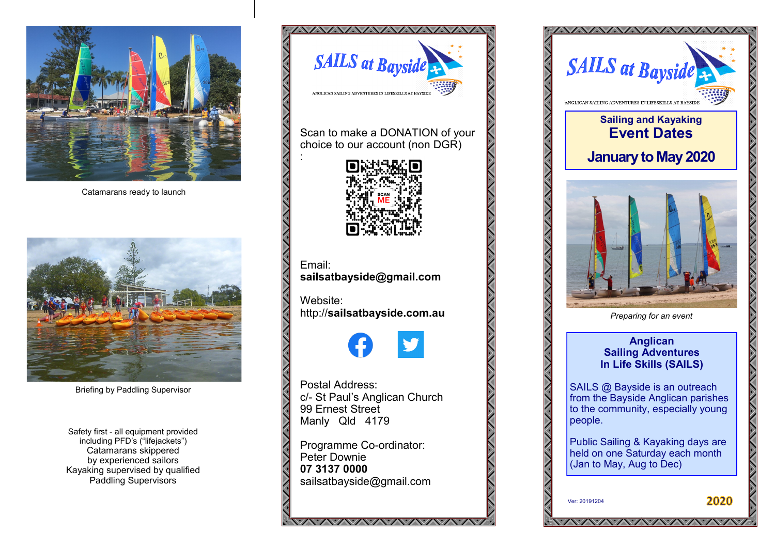

Catamarans ready to launch



Briefing by Paddling Supervisor

Safety first - all equipment provided including PFD's ("lifejackets") Catamarans skippered by experienced sailors Kayaking supervised by qualified Paddling Supervisors



Scan to make a DONATION of your choice to our account (non DGR)



:

Email: **sailsatbayside@gmail.com**

Website: http://**[sailsatbayside.com.au](http://sailsatbayside.com.au)**

Postal Address: c/- St Paul's Anglican Church 99 Ernest Street Manly Qld 4179

Programme Co-ordinator: Peter Downie **07 3137 0000** sailsatbayside@gmail.com

*VAVAVAVAVAVAVAVAVAV*